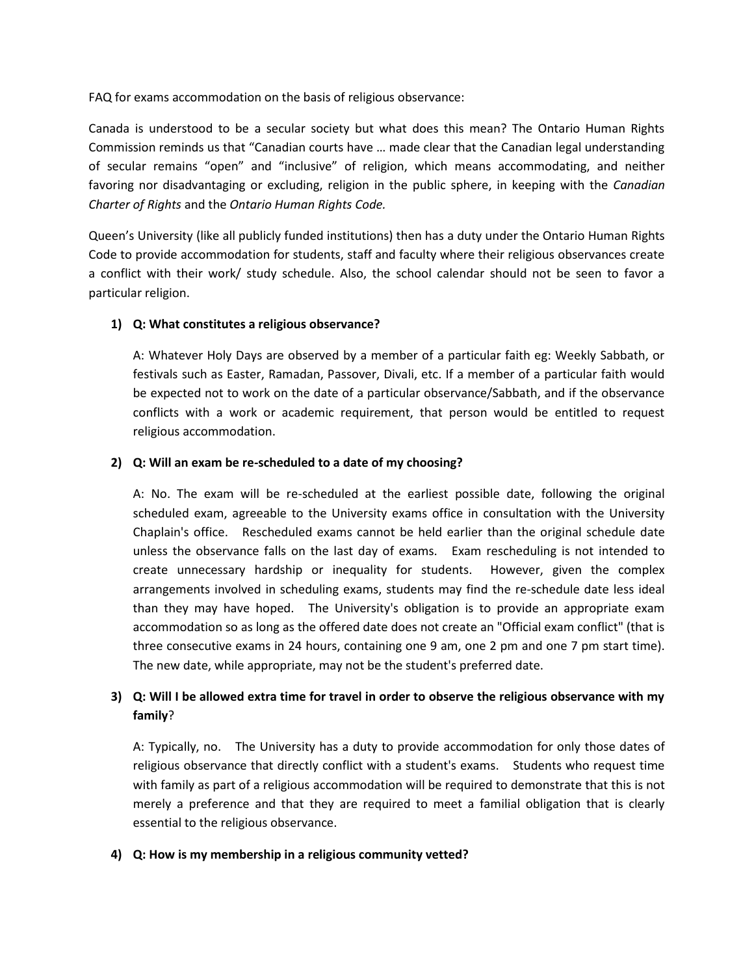FAQ for exams accommodation on the basis of religious observance:

Canada is understood to be a secular society but what does this mean? The Ontario Human Rights Commission reminds us that "Canadian courts have … made clear that the Canadian legal understanding of secular remains "open" and "inclusive" of religion, which means accommodating, and neither favoring nor disadvantaging or excluding, religion in the public sphere, in keeping with the *Canadian Charter of Rights* and the *Ontario Human Rights Code.*

Queen's University (like all publicly funded institutions) then has a duty under the Ontario Human Rights Code to provide accommodation for students, staff and faculty where their religious observances create a conflict with their work/ study schedule. Also, the school calendar should not be seen to favor a particular religion.

## **1) Q: What constitutes a religious observance?**

A: Whatever Holy Days are observed by a member of a particular faith eg: Weekly Sabbath, or festivals such as Easter, Ramadan, Passover, Divali, etc. If a member of a particular faith would be expected not to work on the date of a particular observance/Sabbath, and if the observance conflicts with a work or academic requirement, that person would be entitled to request religious accommodation.

## **2) Q: Will an exam be re-scheduled to a date of my choosing?**

A: No. The exam will be re-scheduled at the earliest possible date, following the original scheduled exam, agreeable to the University exams office in consultation with the University Chaplain's office. Rescheduled exams cannot be held earlier than the original schedule date unless the observance falls on the last day of exams. Exam rescheduling is not intended to create unnecessary hardship or inequality for students. However, given the complex arrangements involved in scheduling exams, students may find the re-schedule date less ideal than they may have hoped. The University's obligation is to provide an appropriate exam accommodation so as long as the offered date does not create an "Official exam conflict" (that is three consecutive exams in 24 hours, containing one 9 am, one 2 pm and one 7 pm start time). The new date, while appropriate, may not be the student's preferred date.

## **3) Q: Will I be allowed extra time for travel in order to observe the religious observance with my family**?

A: Typically, no. The University has a duty to provide accommodation for only those dates of religious observance that directly conflict with a student's exams. Students who request time with family as part of a religious accommodation will be required to demonstrate that this is not merely a preference and that they are required to meet a familial obligation that is clearly essential to the religious observance.

## **4) Q: How is my membership in a religious community vetted?**